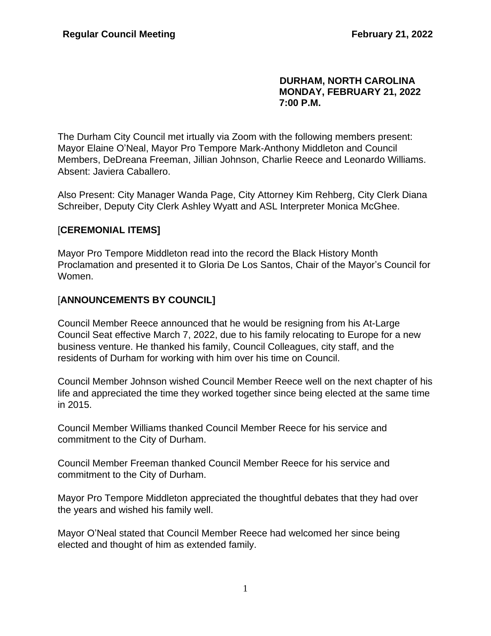#### **DURHAM, NORTH CAROLINA MONDAY, FEBRUARY 21, 2022 7:00 P.M.**

The Durham City Council met irtually via Zoom with the following members present: Mayor Elaine O'Neal, Mayor Pro Tempore Mark-Anthony Middleton and Council Members, DeDreana Freeman, Jillian Johnson, Charlie Reece and Leonardo Williams. Absent: Javiera Caballero.

Also Present: City Manager Wanda Page, City Attorney Kim Rehberg, City Clerk Diana Schreiber, Deputy City Clerk Ashley Wyatt and ASL Interpreter Monica McGhee.

## [**CEREMONIAL ITEMS]**

Mayor Pro Tempore Middleton read into the record the Black History Month Proclamation and presented it to Gloria De Los Santos, Chair of the Mayor's Council for Women.

## [**ANNOUNCEMENTS BY COUNCIL]**

Council Member Reece announced that he would be resigning from his At-Large Council Seat effective March 7, 2022, due to his family relocating to Europe for a new business venture. He thanked his family, Council Colleagues, city staff, and the residents of Durham for working with him over his time on Council.

Council Member Johnson wished Council Member Reece well on the next chapter of his life and appreciated the time they worked together since being elected at the same time in 2015.

Council Member Williams thanked Council Member Reece for his service and commitment to the City of Durham.

Council Member Freeman thanked Council Member Reece for his service and commitment to the City of Durham.

Mayor Pro Tempore Middleton appreciated the thoughtful debates that they had over the years and wished his family well.

Mayor O'Neal stated that Council Member Reece had welcomed her since being elected and thought of him as extended family.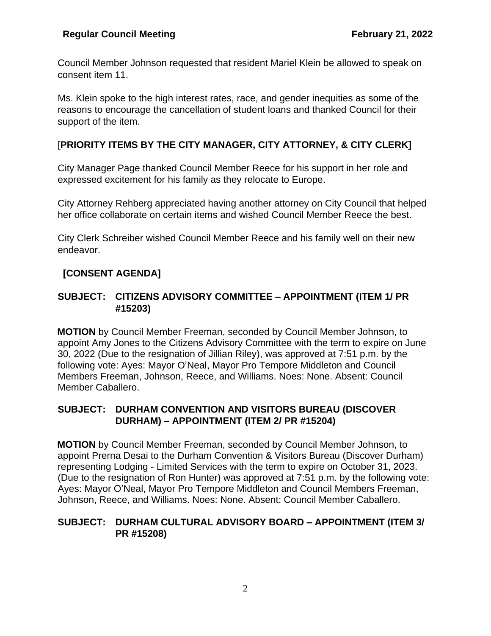Council Member Johnson requested that resident Mariel Klein be allowed to speak on consent item 11.

Ms. Klein spoke to the high interest rates, race, and gender inequities as some of the reasons to encourage the cancellation of student loans and thanked Council for their support of the item.

# [**PRIORITY ITEMS BY THE CITY MANAGER, CITY ATTORNEY, & CITY CLERK]**

City Manager Page thanked Council Member Reece for his support in her role and expressed excitement for his family as they relocate to Europe.

City Attorney Rehberg appreciated having another attorney on City Council that helped her office collaborate on certain items and wished Council Member Reece the best.

City Clerk Schreiber wished Council Member Reece and his family well on their new endeavor.

# **[CONSENT AGENDA]**

## **SUBJECT: CITIZENS ADVISORY COMMITTEE – APPOINTMENT (ITEM 1/ PR #15203)**

**MOTION** by Council Member Freeman, seconded by Council Member Johnson, to appoint Amy Jones to the Citizens Advisory Committee with the term to expire on June 30, 2022 (Due to the resignation of Jillian Riley), was approved at 7:51 p.m. by the following vote: Ayes: Mayor O'Neal, Mayor Pro Tempore Middleton and Council Members Freeman, Johnson, Reece, and Williams. Noes: None. Absent: Council Member Caballero.

## **SUBJECT: DURHAM CONVENTION AND VISITORS BUREAU (DISCOVER DURHAM) – APPOINTMENT (ITEM 2/ PR #15204)**

**MOTION** by Council Member Freeman, seconded by Council Member Johnson, to appoint Prerna Desai to the Durham Convention & Visitors Bureau (Discover Durham) representing Lodging - Limited Services with the term to expire on October 31, 2023. (Due to the resignation of Ron Hunter) was approved at 7:51 p.m. by the following vote: Ayes: Mayor O'Neal, Mayor Pro Tempore Middleton and Council Members Freeman, Johnson, Reece, and Williams. Noes: None. Absent: Council Member Caballero.

## **SUBJECT: DURHAM CULTURAL ADVISORY BOARD – APPOINTMENT (ITEM 3/ PR #15208)**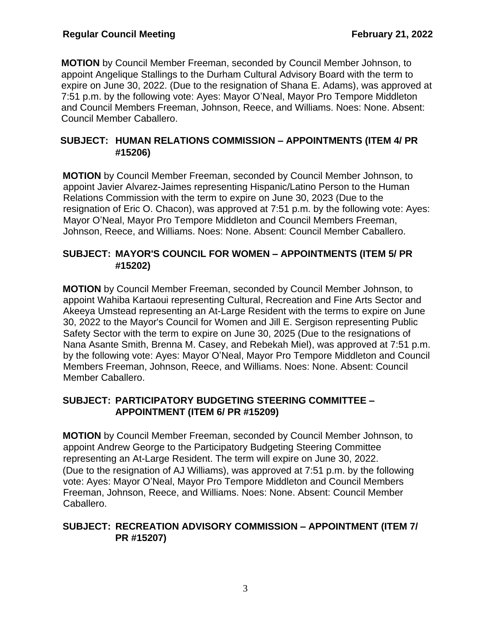**MOTION** by Council Member Freeman, seconded by Council Member Johnson, to appoint Angelique Stallings to the Durham Cultural Advisory Board with the term to expire on June 30, 2022. (Due to the resignation of Shana E. Adams), was approved at 7:51 p.m. by the following vote: Ayes: Mayor O'Neal, Mayor Pro Tempore Middleton and Council Members Freeman, Johnson, Reece, and Williams. Noes: None. Absent: Council Member Caballero.

## **SUBJECT: HUMAN RELATIONS COMMISSION – APPOINTMENTS (ITEM 4/ PR #15206)**

**MOTION** by Council Member Freeman, seconded by Council Member Johnson, to appoint Javier Alvarez-Jaimes representing Hispanic/Latino Person to the Human Relations Commission with the term to expire on June 30, 2023 (Due to the resignation of Eric O. Chacon), was approved at 7:51 p.m. by the following vote: Ayes: Mayor O'Neal, Mayor Pro Tempore Middleton and Council Members Freeman, Johnson, Reece, and Williams. Noes: None. Absent: Council Member Caballero.

## **SUBJECT: MAYOR'S COUNCIL FOR WOMEN – APPOINTMENTS (ITEM 5/ PR #15202)**

**MOTION** by Council Member Freeman, seconded by Council Member Johnson, to appoint Wahiba Kartaoui representing Cultural, Recreation and Fine Arts Sector and Akeeya Umstead representing an At-Large Resident with the terms to expire on June 30, 2022 to the Mayor's Council for Women and Jill E. Sergison representing Public Safety Sector with the term to expire on June 30, 2025 (Due to the resignations of Nana Asante Smith, Brenna M. Casey, and Rebekah Miel), was approved at 7:51 p.m. by the following vote: Ayes: Mayor O'Neal, Mayor Pro Tempore Middleton and Council Members Freeman, Johnson, Reece, and Williams. Noes: None. Absent: Council Member Caballero.

## **SUBJECT: PARTICIPATORY BUDGETING STEERING COMMITTEE – APPOINTMENT (ITEM 6/ PR #15209)**

**MOTION** by Council Member Freeman, seconded by Council Member Johnson, to appoint Andrew George to the Participatory Budgeting Steering Committee representing an At-Large Resident. The term will expire on June 30, 2022. (Due to the resignation of AJ Williams), was approved at 7:51 p.m. by the following vote: Ayes: Mayor O'Neal, Mayor Pro Tempore Middleton and Council Members Freeman, Johnson, Reece, and Williams. Noes: None. Absent: Council Member Caballero.

## **SUBJECT: RECREATION ADVISORY COMMISSION – APPOINTMENT (ITEM 7/ PR #15207)**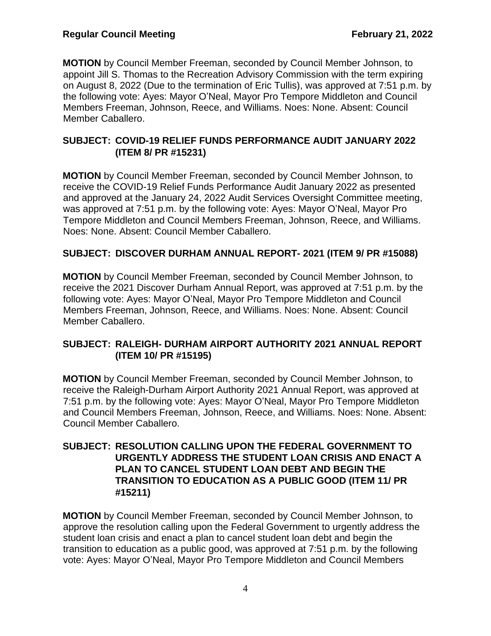**MOTION** by Council Member Freeman, seconded by Council Member Johnson, to appoint Jill S. Thomas to the Recreation Advisory Commission with the term expiring on August 8, 2022 (Due to the termination of Eric Tullis), was approved at 7:51 p.m. by the following vote: Ayes: Mayor O'Neal, Mayor Pro Tempore Middleton and Council Members Freeman, Johnson, Reece, and Williams. Noes: None. Absent: Council Member Caballero.

## **SUBJECT: COVID-19 RELIEF FUNDS PERFORMANCE AUDIT JANUARY 2022 (ITEM 8/ PR #15231)**

**MOTION** by Council Member Freeman, seconded by Council Member Johnson, to receive the COVID-19 Relief Funds Performance Audit January 2022 as presented and approved at the January 24, 2022 Audit Services Oversight Committee meeting, was approved at 7:51 p.m. by the following vote: Ayes: Mayor O'Neal, Mayor Pro Tempore Middleton and Council Members Freeman, Johnson, Reece, and Williams. Noes: None. Absent: Council Member Caballero.

# **SUBJECT: DISCOVER DURHAM ANNUAL REPORT- 2021 (ITEM 9/ PR #15088)**

**MOTION** by Council Member Freeman, seconded by Council Member Johnson, to receive the 2021 Discover Durham Annual Report, was approved at 7:51 p.m. by the following vote: Ayes: Mayor O'Neal, Mayor Pro Tempore Middleton and Council Members Freeman, Johnson, Reece, and Williams. Noes: None. Absent: Council Member Caballero.

## **SUBJECT: RALEIGH- DURHAM AIRPORT AUTHORITY 2021 ANNUAL REPORT (ITEM 10/ PR #15195)**

**MOTION** by Council Member Freeman, seconded by Council Member Johnson, to receive the Raleigh-Durham Airport Authority 2021 Annual Report, was approved at 7:51 p.m. by the following vote: Ayes: Mayor O'Neal, Mayor Pro Tempore Middleton and Council Members Freeman, Johnson, Reece, and Williams. Noes: None. Absent: Council Member Caballero.

## **SUBJECT: RESOLUTION CALLING UPON THE FEDERAL GOVERNMENT TO URGENTLY ADDRESS THE STUDENT LOAN CRISIS AND ENACT A PLAN TO CANCEL STUDENT LOAN DEBT AND BEGIN THE TRANSITION TO EDUCATION AS A PUBLIC GOOD (ITEM 11/ PR #15211)**

**MOTION** by Council Member Freeman, seconded by Council Member Johnson, to approve the resolution calling upon the Federal Government to urgently address the student loan crisis and enact a plan to cancel student loan debt and begin the transition to education as a public good, was approved at 7:51 p.m. by the following vote: Ayes: Mayor O'Neal, Mayor Pro Tempore Middleton and Council Members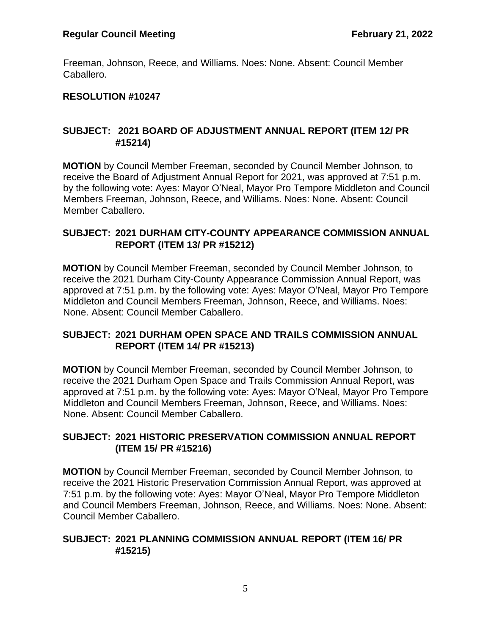Freeman, Johnson, Reece, and Williams. Noes: None. Absent: Council Member Caballero.

## **RESOLUTION #10247**

## **SUBJECT: 2021 BOARD OF ADJUSTMENT ANNUAL REPORT (ITEM 12/ PR #15214)**

**MOTION** by Council Member Freeman, seconded by Council Member Johnson, to receive the Board of Adjustment Annual Report for 2021, was approved at 7:51 p.m. by the following vote: Ayes: Mayor O'Neal, Mayor Pro Tempore Middleton and Council Members Freeman, Johnson, Reece, and Williams. Noes: None. Absent: Council Member Caballero.

### **SUBJECT: 2021 DURHAM CITY-COUNTY APPEARANCE COMMISSION ANNUAL REPORT (ITEM 13/ PR #15212)**

**MOTION** by Council Member Freeman, seconded by Council Member Johnson, to receive the 2021 Durham City-County Appearance Commission Annual Report, was approved at 7:51 p.m. by the following vote: Ayes: Mayor O'Neal, Mayor Pro Tempore Middleton and Council Members Freeman, Johnson, Reece, and Williams. Noes: None. Absent: Council Member Caballero.

## **SUBJECT: 2021 DURHAM OPEN SPACE AND TRAILS COMMISSION ANNUAL REPORT (ITEM 14/ PR #15213)**

**MOTION** by Council Member Freeman, seconded by Council Member Johnson, to receive the 2021 Durham Open Space and Trails Commission Annual Report, was approved at 7:51 p.m. by the following vote: Ayes: Mayor O'Neal, Mayor Pro Tempore Middleton and Council Members Freeman, Johnson, Reece, and Williams. Noes: None. Absent: Council Member Caballero.

## **SUBJECT: 2021 HISTORIC PRESERVATION COMMISSION ANNUAL REPORT (ITEM 15/ PR #15216)**

**MOTION** by Council Member Freeman, seconded by Council Member Johnson, to receive the 2021 Historic Preservation Commission Annual Report, was approved at 7:51 p.m. by the following vote: Ayes: Mayor O'Neal, Mayor Pro Tempore Middleton and Council Members Freeman, Johnson, Reece, and Williams. Noes: None. Absent: Council Member Caballero.

## **SUBJECT: 2021 PLANNING COMMISSION ANNUAL REPORT (ITEM 16/ PR #15215)**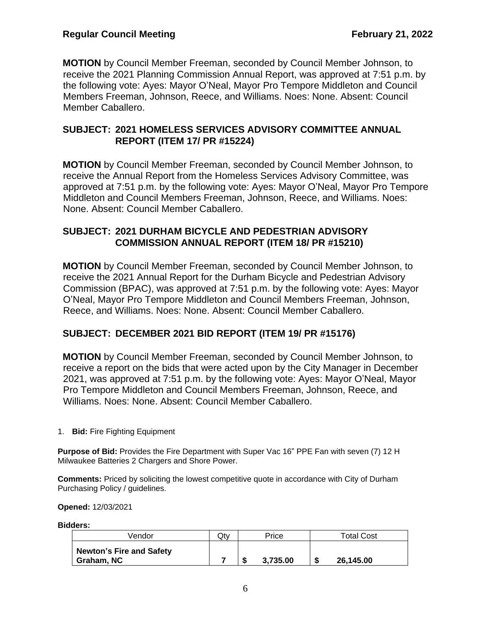**MOTION** by Council Member Freeman, seconded by Council Member Johnson, to receive the 2021 Planning Commission Annual Report, was approved at 7:51 p.m. by the following vote: Ayes: Mayor O'Neal, Mayor Pro Tempore Middleton and Council Members Freeman, Johnson, Reece, and Williams. Noes: None. Absent: Council Member Caballero.

## **SUBJECT: 2021 HOMELESS SERVICES ADVISORY COMMITTEE ANNUAL REPORT (ITEM 17/ PR #15224)**

**MOTION** by Council Member Freeman, seconded by Council Member Johnson, to receive the Annual Report from the Homeless Services Advisory Committee, was approved at 7:51 p.m. by the following vote: Ayes: Mayor O'Neal, Mayor Pro Tempore Middleton and Council Members Freeman, Johnson, Reece, and Williams. Noes: None. Absent: Council Member Caballero.

## **SUBJECT: 2021 DURHAM BICYCLE AND PEDESTRIAN ADVISORY COMMISSION ANNUAL REPORT (ITEM 18/ PR #15210)**

**MOTION** by Council Member Freeman, seconded by Council Member Johnson, to receive the 2021 Annual Report for the Durham Bicycle and Pedestrian Advisory Commission (BPAC), was approved at 7:51 p.m. by the following vote: Ayes: Mayor O'Neal, Mayor Pro Tempore Middleton and Council Members Freeman, Johnson, Reece, and Williams. Noes: None. Absent: Council Member Caballero.

# **SUBJECT: DECEMBER 2021 BID REPORT (ITEM 19/ PR #15176)**

**MOTION** by Council Member Freeman, seconded by Council Member Johnson, to receive a report on the bids that were acted upon by the City Manager in December 2021, was approved at 7:51 p.m. by the following vote: Ayes: Mayor O'Neal, Mayor Pro Tempore Middleton and Council Members Freeman, Johnson, Reece, and Williams. Noes: None. Absent: Council Member Caballero.

1. **Bid:** Fire Fighting Equipment

**Purpose of Bid:** Provides the Fire Department with Super Vac 16" PPE Fan with seven (7) 12 H Milwaukee Batteries 2 Chargers and Shore Power.

**Comments:** Priced by soliciting the lowest competitive quote in accordance with City of Durham Purchasing Policy / guidelines.

**Opened:** 12/03/2021

**Bidders:**

| Vendor                                        | Qty | Price    |   | <b>Total Cost</b> |
|-----------------------------------------------|-----|----------|---|-------------------|
| <b>Newton's Fire and Safety</b><br>Graham, NC |     | 3.735.00 | S | 26.145.00         |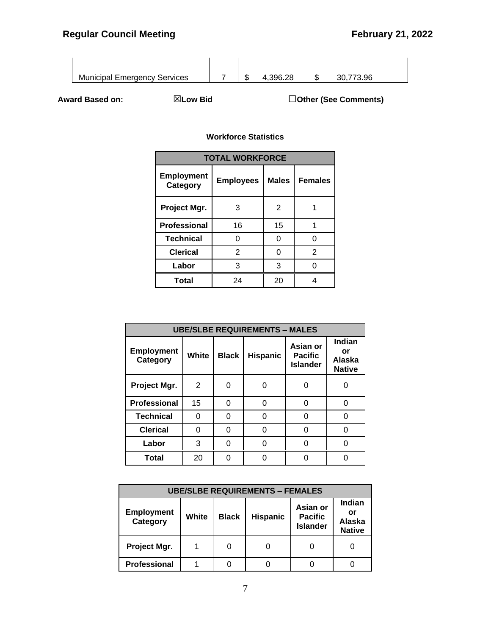

**Award Based on:** ☒**Low Bid** ☐**Other (See Comments)**

| <b>TOTAL WORKFORCE</b>        |                  |              |                |  |  |  |
|-------------------------------|------------------|--------------|----------------|--|--|--|
| <b>Employment</b><br>Category | <b>Employees</b> | <b>Males</b> | <b>Females</b> |  |  |  |
| Project Mgr.                  | 3                | 2            |                |  |  |  |
| <b>Professional</b>           | 16               | 15           |                |  |  |  |
| <b>Technical</b>              | ი                | O            | ი              |  |  |  |
| <b>Clerical</b>               | $\overline{2}$   | 0            | 2              |  |  |  |
| Labor                         | 3                | 3            |                |  |  |  |
| Total                         | 24               | 20           |                |  |  |  |

| <b>UBE/SLBE REQUIREMENTS - MALES</b> |       |              |                 |                                               |                                                |  |
|--------------------------------------|-------|--------------|-----------------|-----------------------------------------------|------------------------------------------------|--|
| <b>Employment</b><br>Category        | White | <b>Black</b> | <b>Hispanic</b> | Asian or<br><b>Pacific</b><br><b>Islander</b> | Indian<br>or<br><b>Alaska</b><br><b>Native</b> |  |
| Project Mgr.                         | 2     | Ω            |                 | 0                                             | 0                                              |  |
| Professional                         | 15    | 0            |                 | 0                                             | 0                                              |  |
| <b>Technical</b>                     | 0     | O            |                 | 0                                             | 0                                              |  |
| <b>Clerical</b>                      | O     | ი            |                 | ი                                             | U                                              |  |
| Labor                                | 3     |              |                 |                                               |                                                |  |
| Total                                | 20    |              |                 |                                               |                                                |  |

| <b>UBE/SLBE REQUIREMENTS - FEMALES</b> |       |              |                 |                                               |                                         |  |
|----------------------------------------|-------|--------------|-----------------|-----------------------------------------------|-----------------------------------------|--|
| <b>Employment</b><br>Category          | White | <b>Black</b> | <b>Hispanic</b> | Asian or<br><b>Pacific</b><br><b>Islander</b> | Indian<br>or<br>Alaska<br><b>Native</b> |  |
| Project Mgr.                           |       | 0            |                 |                                               |                                         |  |
| <b>Professional</b>                    |       |              |                 |                                               |                                         |  |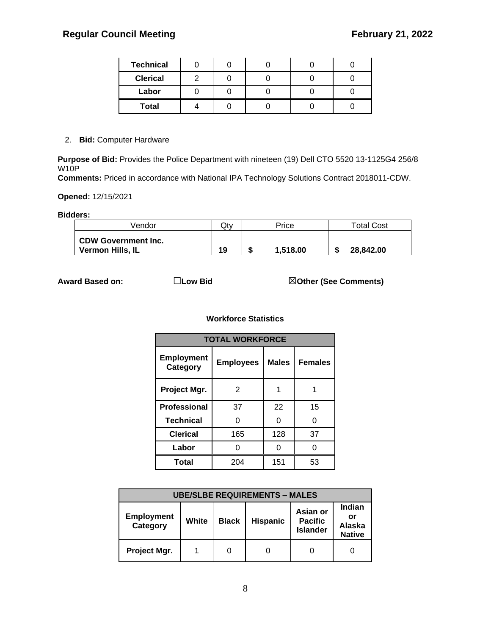| <b>Technical</b> |  |  |  |
|------------------|--|--|--|
| <b>Clerical</b>  |  |  |  |
| Labor            |  |  |  |
| <b>Total</b>     |  |  |  |

2. **Bid:** Computer Hardware

**Purpose of Bid:** Provides the Police Department with nineteen (19) Dell CTO 5520 13-1125G4 256/8 W10P

**Comments:** Priced in accordance with National IPA Technology Solutions Contract 2018011-CDW.

**Opened:** 12/15/2021

**Bidders:**

| Vendor                                         | Qtv | Price    | <b>Total Cost</b> |
|------------------------------------------------|-----|----------|-------------------|
| <b>CDW Government Inc.</b><br>Vermon Hills, IL | 19  | 1.518.00 | 28.842.00         |

**Award Based on:** ☐**Low Bid** ☒**Other (See Comments)**

| <b>TOTAL WORKFORCE</b>        |                  |              |                |  |  |  |
|-------------------------------|------------------|--------------|----------------|--|--|--|
| <b>Employment</b><br>Category | <b>Employees</b> | <b>Males</b> | <b>Females</b> |  |  |  |
| Project Mgr.                  | 2                |              |                |  |  |  |
| Professional                  | 37               | 22           | 15             |  |  |  |
| <b>Technical</b>              | ი                | O            | ი              |  |  |  |
| <b>Clerical</b>               | 165              | 128          | 37             |  |  |  |
| Labor                         |                  |              | n              |  |  |  |
| <b>Total</b>                  | 204              | 151          | 53             |  |  |  |

| <b>UBE/SLBE REQUIREMENTS - MALES</b> |       |              |                 |                                               |                                                |  |
|--------------------------------------|-------|--------------|-----------------|-----------------------------------------------|------------------------------------------------|--|
| <b>Employment</b><br>Category        | White | <b>Black</b> | <b>Hispanic</b> | Asian or<br><b>Pacific</b><br><b>Islander</b> | Indian<br>or<br><b>Alaska</b><br><b>Native</b> |  |
| Project Mgr.                         |       | 0            |                 |                                               |                                                |  |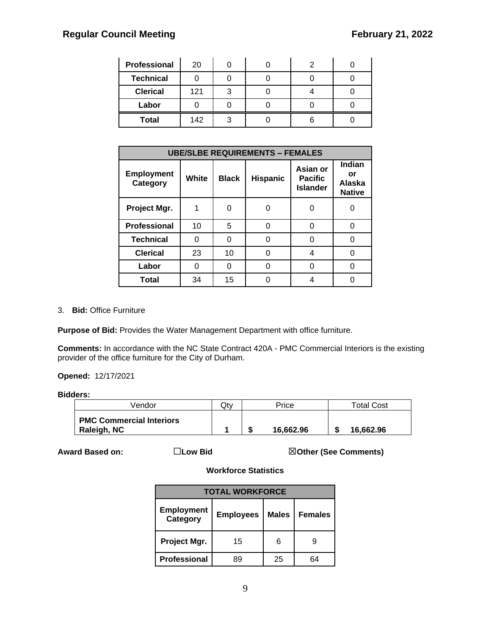| Professional     | 20  |   |  |  |
|------------------|-----|---|--|--|
| <b>Technical</b> |     |   |  |  |
| <b>Clerical</b>  | 121 | ว |  |  |
| Labor            |     |   |  |  |
| <b>Total</b>     | 142 |   |  |  |

| <b>UBE/SLBE REQUIREMENTS - FEMALES</b> |       |              |                 |                                               |                                         |  |
|----------------------------------------|-------|--------------|-----------------|-----------------------------------------------|-----------------------------------------|--|
| <b>Employment</b><br>Category          | White | <b>Black</b> | <b>Hispanic</b> | Asian or<br><b>Pacific</b><br><b>Islander</b> | Indian<br>or<br>Alaska<br><b>Native</b> |  |
| Project Mgr.                           |       | 0            |                 |                                               |                                         |  |
| Professional                           | 10    | 5            | 0               | U                                             |                                         |  |
| <b>Technical</b>                       | O     | 0            | 0               | n                                             |                                         |  |
| <b>Clerical</b>                        | 23    | 10           | 0               | 4                                             |                                         |  |
| Labor                                  |       | 0            | ი               |                                               |                                         |  |
| <b>Total</b>                           | 34    | 15           |                 |                                               |                                         |  |

#### 3. **Bid:** Office Furniture

**Purpose of Bid:** Provides the Water Management Department with office furniture.

**Comments:** In accordance with the NC State Contract 420A - PMC Commercial Interiors is the existing provider of the office furniture for the City of Durham.

**Opened:** 12/17/2021

#### **Bidders:**

| √endor                                         | Qtv | Price     | <b>Total Cost</b> |
|------------------------------------------------|-----|-----------|-------------------|
| <b>PMC Commercial Interiors</b><br>Raleigh, NC |     | 16.662.96 | 16.662.96         |

**Award Based on:** ☐**Low Bid** ☒**Other (See Comments)**

| <b>TOTAL WORKFORCE</b>        |                  |              |                |  |  |  |
|-------------------------------|------------------|--------------|----------------|--|--|--|
| <b>Employment</b><br>Category | <b>Employees</b> | <b>Males</b> | <b>Females</b> |  |  |  |
| Project Mgr.                  | 15               | 6            | р              |  |  |  |
| Professional                  | 89               | 25           |                |  |  |  |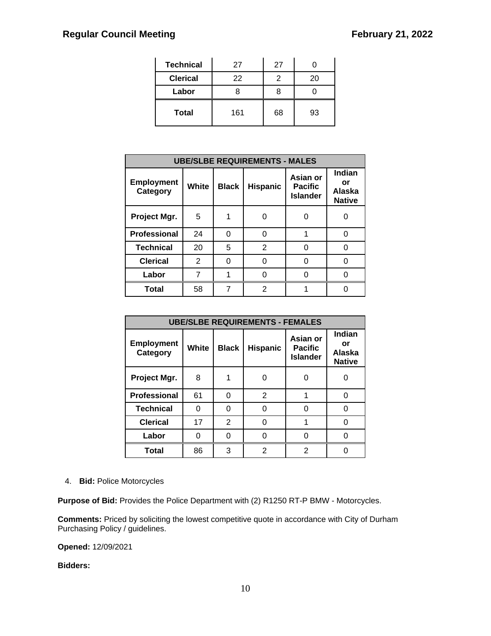| <b>Technical</b> | 27  | 27 |    |
|------------------|-----|----|----|
| <b>Clerical</b>  | 22  |    | 20 |
| Labor            |     |    |    |
| <b>Total</b>     | 161 | 68 | 93 |

| <b>UBE/SLBE REQUIREMENTS - MALES</b> |       |              |                 |                                               |                                         |  |  |
|--------------------------------------|-------|--------------|-----------------|-----------------------------------------------|-----------------------------------------|--|--|
| <b>Employment</b><br>Category        | White | <b>Black</b> | <b>Hispanic</b> | Asian or<br><b>Pacific</b><br><b>Islander</b> | Indian<br>or<br>Alaska<br><b>Native</b> |  |  |
| Project Mgr.                         | 5     |              |                 | 0                                             |                                         |  |  |
| Professional                         | 24    | 0            | O               | 1                                             | O                                       |  |  |
| <b>Technical</b>                     | 20    | 5            | $\overline{2}$  | 0                                             | O                                       |  |  |
| <b>Clerical</b>                      | 2     | 0            | U               | 0                                             | ∩                                       |  |  |
| Labor                                |       |              |                 |                                               |                                         |  |  |
| <b>Total</b>                         | 58    | 7            | 2               |                                               |                                         |  |  |

| <b>UBE/SLBE REQUIREMENTS - FEMALES</b> |              |              |                 |                                               |                                                |  |  |
|----------------------------------------|--------------|--------------|-----------------|-----------------------------------------------|------------------------------------------------|--|--|
| <b>Employment</b><br>Category          | <b>White</b> | <b>Black</b> | <b>Hispanic</b> | Asian or<br><b>Pacific</b><br><b>Islander</b> | <b>Indian</b><br>or<br>Alaska<br><b>Native</b> |  |  |
| Project Mgr.                           | 8            |              |                 | 0                                             | ი                                              |  |  |
| Professional                           | 61           | 0            | $\overline{2}$  | 1                                             | 0                                              |  |  |
| <b>Technical</b>                       | 0            | 0            |                 | 0                                             | 0                                              |  |  |
| <b>Clerical</b>                        | 17           | 2            |                 | 1                                             |                                                |  |  |
| Labor                                  | 0            | 0            |                 | ი                                             |                                                |  |  |
| <b>Total</b>                           | 86           | 3            | 2               | 2                                             |                                                |  |  |

#### 4. **Bid:** Police Motorcycles

**Purpose of Bid:** Provides the Police Department with (2) R1250 RT-P BMW - Motorcycles.

**Comments:** Priced by soliciting the lowest competitive quote in accordance with City of Durham Purchasing Policy / guidelines.

**Opened:** 12/09/2021

**Bidders:**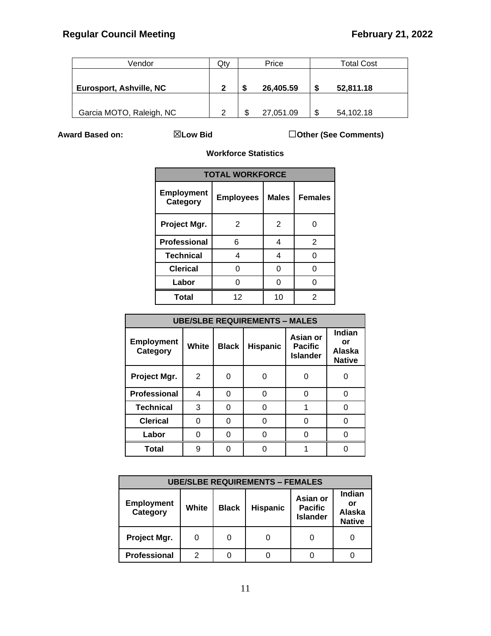| Vendor                   | Qty |   | Price     |    | <b>Total Cost</b> |
|--------------------------|-----|---|-----------|----|-------------------|
|                          |     |   |           |    |                   |
| Eurosport, Ashville, NC  | 2   | S | 26,405.59 | S  | 52,811.18         |
|                          |     |   |           |    |                   |
| Garcia MOTO, Raleigh, NC | հ   | S | 27,051.09 | \$ | 54,102.18         |

**Award Based on:** ☒**Low Bid** ☐**Other (See Comments)**

| <b>TOTAL WORKFORCE</b>        |                  |                |                |  |  |  |  |
|-------------------------------|------------------|----------------|----------------|--|--|--|--|
| <b>Employment</b><br>Category | <b>Employees</b> | <b>Males</b>   | <b>Females</b> |  |  |  |  |
| Project Mgr.                  | 2                | $\overline{2}$ |                |  |  |  |  |
| Professional                  | 6                | 4              | 2              |  |  |  |  |
| <b>Technical</b>              | 4                | 4              | ∩              |  |  |  |  |
| <b>Clerical</b>               | ∩                | 0              |                |  |  |  |  |
| Labor                         |                  |                |                |  |  |  |  |
| <b>Total</b>                  | 12               | 10             | 2              |  |  |  |  |

| <b>UBE/SLBE REQUIREMENTS - MALES</b> |       |              |                 |                                               |                                                       |  |  |  |
|--------------------------------------|-------|--------------|-----------------|-----------------------------------------------|-------------------------------------------------------|--|--|--|
| <b>Employment</b><br>Category        | White | <b>Black</b> | <b>Hispanic</b> | Asian or<br><b>Pacific</b><br><b>Islander</b> | <b>Indian</b><br>or<br><b>Alaska</b><br><b>Native</b> |  |  |  |
| Project Mgr.                         | 2     |              |                 |                                               |                                                       |  |  |  |
| Professional                         | 4     | 0            |                 | U                                             | ი                                                     |  |  |  |
| <b>Technical</b>                     | 3     | 0            |                 |                                               | ი                                                     |  |  |  |
| <b>Clerical</b>                      | 0     | 0            |                 | 0                                             | 0                                                     |  |  |  |
| Labor                                | U     | O            |                 |                                               |                                                       |  |  |  |
| <b>Total</b>                         | 9     |              |                 |                                               |                                                       |  |  |  |

| <b>UBE/SLBE REQUIREMENTS - FEMALES</b> |       |              |                 |                                               |                                         |  |  |
|----------------------------------------|-------|--------------|-----------------|-----------------------------------------------|-----------------------------------------|--|--|
| <b>Employment</b><br>Category          | White | <b>Black</b> | <b>Hispanic</b> | Asian or<br><b>Pacific</b><br><b>Islander</b> | Indian<br>or<br>Alaska<br><b>Native</b> |  |  |
| Project Mgr.                           |       | 0            |                 |                                               |                                         |  |  |
| <b>Professional</b>                    | 2     |              |                 |                                               |                                         |  |  |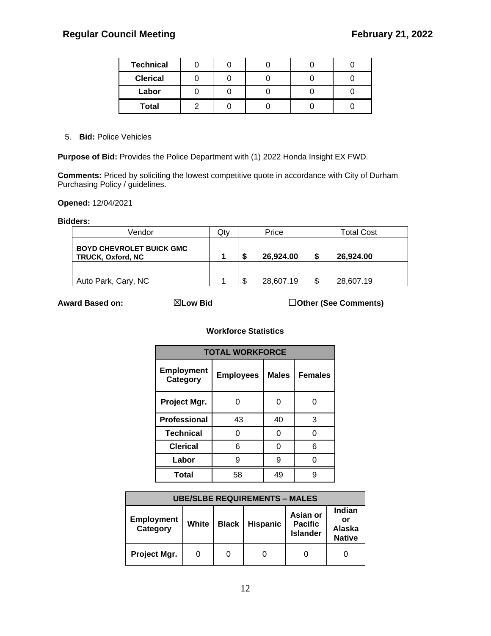| <b>Technical</b> |  |  |  |
|------------------|--|--|--|
| <b>Clerical</b>  |  |  |  |
| Labor            |  |  |  |
| <b>Total</b>     |  |  |  |

5. **Bid:** Police Vehicles

**Purpose of Bid:** Provides the Police Department with (1) 2022 Honda Insight EX FWD.

**Comments:** Priced by soliciting the lowest competitive quote in accordance with City of Durham Purchasing Policy / guidelines.

**Opened:** 12/04/2021

#### **Bidders:**

| Vendor                                                      | Qtv |    | Price     |    | <b>Total Cost</b> |
|-------------------------------------------------------------|-----|----|-----------|----|-------------------|
| <b>BOYD CHEVROLET BUICK GMC</b><br><b>TRUCK, Oxford, NC</b> |     | S  | 26.924.00 | S  | 26.924.00         |
|                                                             |     |    |           |    |                   |
| Auto Park, Cary, NC                                         |     | \$ | 28,607.19 | \$ | 28,607.19         |

**Award Based on:** ☒**Low Bid** ☐**Other (See Comments)**

| <b>TOTAL WORKFORCE</b>        |                  |              |                |  |  |  |  |
|-------------------------------|------------------|--------------|----------------|--|--|--|--|
| <b>Employment</b><br>Category | <b>Employees</b> | <b>Males</b> | <b>Females</b> |  |  |  |  |
| Project Mgr.                  |                  | ი            |                |  |  |  |  |
| <b>Professional</b>           | 43               | 40           | 3              |  |  |  |  |
| <b>Technical</b>              | n                | ⋂            |                |  |  |  |  |
| <b>Clerical</b>               | 6                | ი            | 6              |  |  |  |  |
| Labor                         | g                | g            |                |  |  |  |  |
| <b>Total</b>                  | 58               | 49           |                |  |  |  |  |

| <b>UBE/SLBE REQUIREMENTS - MALES</b> |       |              |                 |                                               |                                                |  |  |
|--------------------------------------|-------|--------------|-----------------|-----------------------------------------------|------------------------------------------------|--|--|
| <b>Employment</b><br>Category        | White | <b>Black</b> | <b>Hispanic</b> | Asian or<br><b>Pacific</b><br><b>Islander</b> | Indian<br>or<br><b>Alaska</b><br><b>Native</b> |  |  |
| Project Mgr.                         |       |              |                 |                                               |                                                |  |  |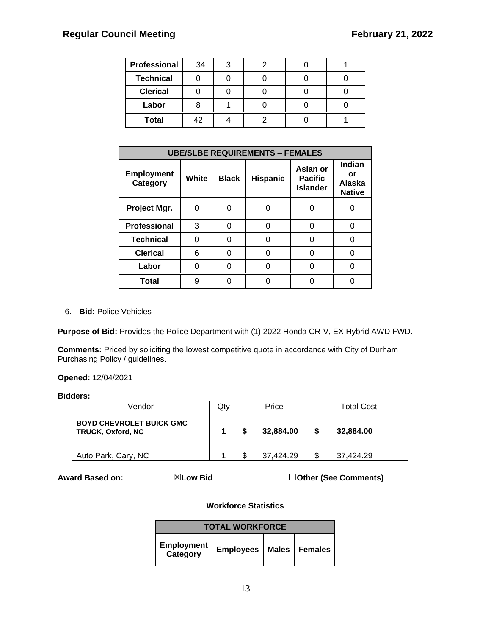| Professional     | 34 | 3 |  |  |
|------------------|----|---|--|--|
| <b>Technical</b> |    |   |  |  |
| <b>Clerical</b>  |    |   |  |  |
| Labor            |    |   |  |  |
| <b>Total</b>     | 42 |   |  |  |

| <b>UBE/SLBE REQUIREMENTS - FEMALES</b> |       |              |                 |                                               |                                         |  |
|----------------------------------------|-------|--------------|-----------------|-----------------------------------------------|-----------------------------------------|--|
| <b>Employment</b><br>Category          | White | <b>Black</b> | <b>Hispanic</b> | Asian or<br><b>Pacific</b><br><b>Islander</b> | Indian<br>or<br>Alaska<br><b>Native</b> |  |
| Project Mgr.                           | 0     | 0            | O               |                                               |                                         |  |
| <b>Professional</b>                    | 3     | 0            | 0               |                                               |                                         |  |
| <b>Technical</b>                       | O     | 0            | 0               |                                               |                                         |  |
| <b>Clerical</b>                        | 6     | 0            | 0               |                                               |                                         |  |
| Labor                                  |       | 0            | Ω               |                                               |                                         |  |
| <b>Total</b>                           | 9     | 0            |                 |                                               |                                         |  |

6. **Bid:** Police Vehicles

**Purpose of Bid:** Provides the Police Department with (1) 2022 Honda CR-V, EX Hybrid AWD FWD.

**Comments:** Priced by soliciting the lowest competitive quote in accordance with City of Durham Purchasing Policy / guidelines.

**Opened:** 12/04/2021

#### **Bidders:**

| Vendor                                                      | Qtv |   | Price     | <b>Total Cost</b> |
|-------------------------------------------------------------|-----|---|-----------|-------------------|
| <b>BOYD CHEVROLET BUICK GMC</b><br><b>TRUCK, Oxford, NC</b> |     | S | 32,884.00 | \$<br>32,884.00   |
|                                                             |     |   |           |                   |
| Auto Park, Cary, NC                                         |     | S | 37.424.29 | \$<br>37.424.29   |

**Award Based on:** ☒**Low Bid** ☐**Other (See Comments)**

| <b>TOTAL WORKFORCE</b>                   |  |  |  |  |  |  |
|------------------------------------------|--|--|--|--|--|--|
| Employment   Employees   Males   Females |  |  |  |  |  |  |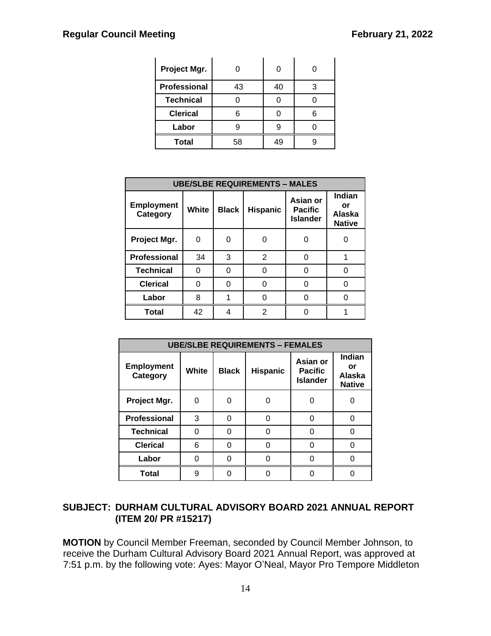| Project Mgr.        |    |    |  |
|---------------------|----|----|--|
| <b>Professional</b> | 43 | 40 |  |
| <b>Technical</b>    |    |    |  |
| <b>Clerical</b>     |    |    |  |
| Labor               |    |    |  |
| <b>Total</b>        | 58 | 49 |  |

| <b>UBE/SLBE REQUIREMENTS - MALES</b> |       |              |                 |                                               |                                         |  |
|--------------------------------------|-------|--------------|-----------------|-----------------------------------------------|-----------------------------------------|--|
| <b>Employment</b><br>Category        | White | <b>Black</b> | <b>Hispanic</b> | Asian or<br><b>Pacific</b><br><b>Islander</b> | Indian<br>or<br>Alaska<br><b>Native</b> |  |
| Project Mgr.                         | 0     | ი            |                 | ი                                             |                                         |  |
| <b>Professional</b>                  | 34    | 3            | 2               | U                                             |                                         |  |
| <b>Technical</b>                     | O     | O            |                 | ი                                             |                                         |  |
| <b>Clerical</b>                      | 0     | O            |                 | ი                                             |                                         |  |
| Labor                                | 8     |              |                 | ∩                                             |                                         |  |
| <b>Total</b>                         | 42    | 4            | 2               |                                               |                                         |  |

| <b>UBE/SLBE REQUIREMENTS - FEMALES</b> |       |              |                 |                                               |                                         |  |
|----------------------------------------|-------|--------------|-----------------|-----------------------------------------------|-----------------------------------------|--|
| <b>Employment</b><br>Category          | White | <b>Black</b> | <b>Hispanic</b> | Asian or<br><b>Pacific</b><br><b>Islander</b> | Indian<br>or<br>Alaska<br><b>Native</b> |  |
| Project Mgr.                           | O     | 0            |                 |                                               |                                         |  |
| <b>Professional</b>                    | 3     | 0            | ი               |                                               |                                         |  |
| <b>Technical</b>                       |       | 0            |                 |                                               |                                         |  |
| <b>Clerical</b>                        | 6     | 0            |                 |                                               |                                         |  |
| Labor                                  | U     | 0            |                 |                                               |                                         |  |
| <b>Total</b>                           | g     | ∩            |                 |                                               |                                         |  |

## **SUBJECT: DURHAM CULTURAL ADVISORY BOARD 2021 ANNUAL REPORT (ITEM 20/ PR #15217)**

**MOTION** by Council Member Freeman, seconded by Council Member Johnson, to receive the Durham Cultural Advisory Board 2021 Annual Report, was approved at 7:51 p.m. by the following vote: Ayes: Mayor O'Neal, Mayor Pro Tempore Middleton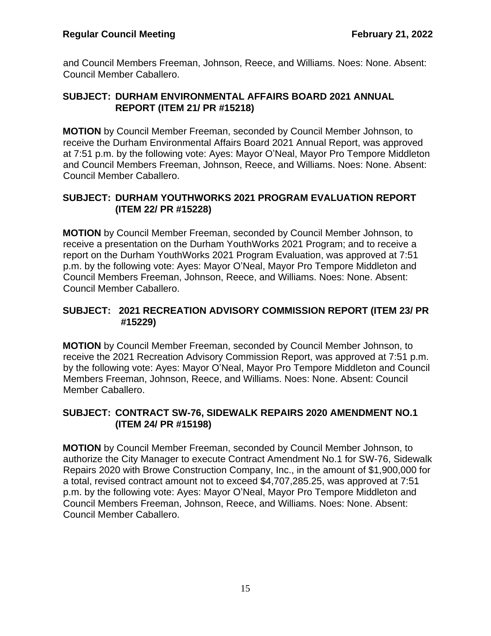and Council Members Freeman, Johnson, Reece, and Williams. Noes: None. Absent: Council Member Caballero.

## **SUBJECT: DURHAM ENVIRONMENTAL AFFAIRS BOARD 2021 ANNUAL REPORT (ITEM 21/ PR #15218)**

**MOTION** by Council Member Freeman, seconded by Council Member Johnson, to receive the Durham Environmental Affairs Board 2021 Annual Report, was approved at 7:51 p.m. by the following vote: Ayes: Mayor O'Neal, Mayor Pro Tempore Middleton and Council Members Freeman, Johnson, Reece, and Williams. Noes: None. Absent: Council Member Caballero.

## **SUBJECT: DURHAM YOUTHWORKS 2021 PROGRAM EVALUATION REPORT (ITEM 22/ PR #15228)**

**MOTION** by Council Member Freeman, seconded by Council Member Johnson, to receive a presentation on the Durham YouthWorks 2021 Program; and to receive a report on the Durham YouthWorks 2021 Program Evaluation, was approved at 7:51 p.m. by the following vote: Ayes: Mayor O'Neal, Mayor Pro Tempore Middleton and Council Members Freeman, Johnson, Reece, and Williams. Noes: None. Absent: Council Member Caballero.

## **SUBJECT: 2021 RECREATION ADVISORY COMMISSION REPORT (ITEM 23/ PR #15229)**

**MOTION** by Council Member Freeman, seconded by Council Member Johnson, to receive the 2021 Recreation Advisory Commission Report, was approved at 7:51 p.m. by the following vote: Ayes: Mayor O'Neal, Mayor Pro Tempore Middleton and Council Members Freeman, Johnson, Reece, and Williams. Noes: None. Absent: Council Member Caballero.

## **SUBJECT: CONTRACT SW-76, SIDEWALK REPAIRS 2020 AMENDMENT NO.1 (ITEM 24/ PR #15198)**

**MOTION** by Council Member Freeman, seconded by Council Member Johnson, to authorize the City Manager to execute Contract Amendment No.1 for SW-76, Sidewalk Repairs 2020 with Browe Construction Company, Inc., in the amount of \$1,900,000 for a total, revised contract amount not to exceed \$4,707,285.25, was approved at 7:51 p.m. by the following vote: Ayes: Mayor O'Neal, Mayor Pro Tempore Middleton and Council Members Freeman, Johnson, Reece, and Williams. Noes: None. Absent: Council Member Caballero.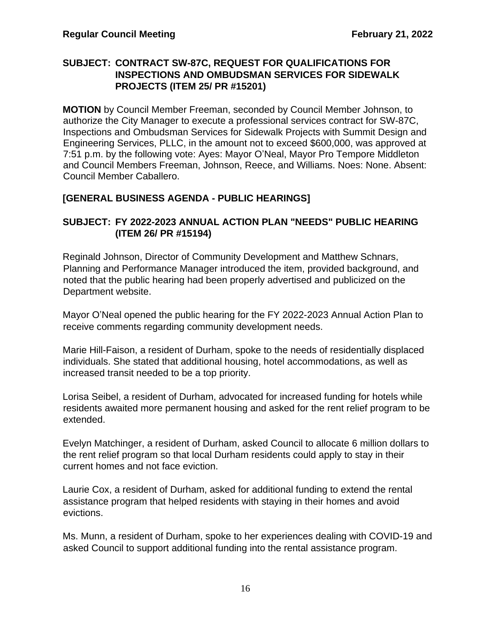## **SUBJECT: CONTRACT SW-87C, REQUEST FOR QUALIFICATIONS FOR INSPECTIONS AND OMBUDSMAN SERVICES FOR SIDEWALK PROJECTS (ITEM 25/ PR #15201)**

**MOTION** by Council Member Freeman, seconded by Council Member Johnson, to authorize the City Manager to execute a professional services contract for SW-87C, Inspections and Ombudsman Services for Sidewalk Projects with Summit Design and Engineering Services, PLLC, in the amount not to exceed \$600,000, was approved at 7:51 p.m. by the following vote: Ayes: Mayor O'Neal, Mayor Pro Tempore Middleton and Council Members Freeman, Johnson, Reece, and Williams. Noes: None. Absent: Council Member Caballero.

## **[GENERAL BUSINESS AGENDA - PUBLIC HEARINGS]**

## **SUBJECT: FY 2022-2023 ANNUAL ACTION PLAN "NEEDS" PUBLIC HEARING (ITEM 26/ PR #15194)**

Reginald Johnson, Director of Community Development and Matthew Schnars, Planning and Performance Manager introduced the item, provided background, and noted that the public hearing had been properly advertised and publicized on the Department website.

Mayor O'Neal opened the public hearing for the FY 2022-2023 Annual Action Plan to receive comments regarding community development needs.

Marie Hill-Faison, a resident of Durham, spoke to the needs of residentially displaced individuals. She stated that additional housing, hotel accommodations, as well as increased transit needed to be a top priority.

Lorisa Seibel, a resident of Durham, advocated for increased funding for hotels while residents awaited more permanent housing and asked for the rent relief program to be extended.

Evelyn Matchinger, a resident of Durham, asked Council to allocate 6 million dollars to the rent relief program so that local Durham residents could apply to stay in their current homes and not face eviction.

Laurie Cox, a resident of Durham, asked for additional funding to extend the rental assistance program that helped residents with staying in their homes and avoid evictions.

Ms. Munn, a resident of Durham, spoke to her experiences dealing with COVID-19 and asked Council to support additional funding into the rental assistance program.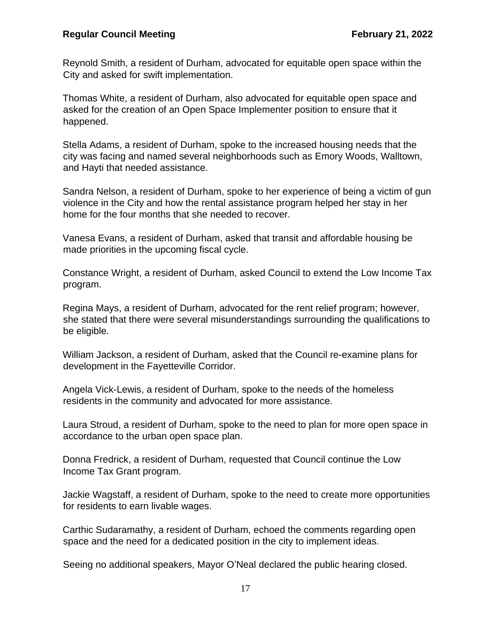Reynold Smith, a resident of Durham, advocated for equitable open space within the City and asked for swift implementation.

Thomas White, a resident of Durham, also advocated for equitable open space and asked for the creation of an Open Space Implementer position to ensure that it happened.

Stella Adams, a resident of Durham, spoke to the increased housing needs that the city was facing and named several neighborhoods such as Emory Woods, Walltown, and Hayti that needed assistance.

Sandra Nelson, a resident of Durham, spoke to her experience of being a victim of gun violence in the City and how the rental assistance program helped her stay in her home for the four months that she needed to recover.

Vanesa Evans, a resident of Durham, asked that transit and affordable housing be made priorities in the upcoming fiscal cycle.

Constance Wright, a resident of Durham, asked Council to extend the Low Income Tax program.

Regina Mays, a resident of Durham, advocated for the rent relief program; however, she stated that there were several misunderstandings surrounding the qualifications to be eligible.

William Jackson, a resident of Durham, asked that the Council re-examine plans for development in the Fayetteville Corridor.

Angela Vick-Lewis, a resident of Durham, spoke to the needs of the homeless residents in the community and advocated for more assistance.

Laura Stroud, a resident of Durham, spoke to the need to plan for more open space in accordance to the urban open space plan.

Donna Fredrick, a resident of Durham, requested that Council continue the Low Income Tax Grant program.

Jackie Wagstaff, a resident of Durham, spoke to the need to create more opportunities for residents to earn livable wages.

Carthic Sudaramathy, a resident of Durham, echoed the comments regarding open space and the need for a dedicated position in the city to implement ideas.

Seeing no additional speakers, Mayor O'Neal declared the public hearing closed.